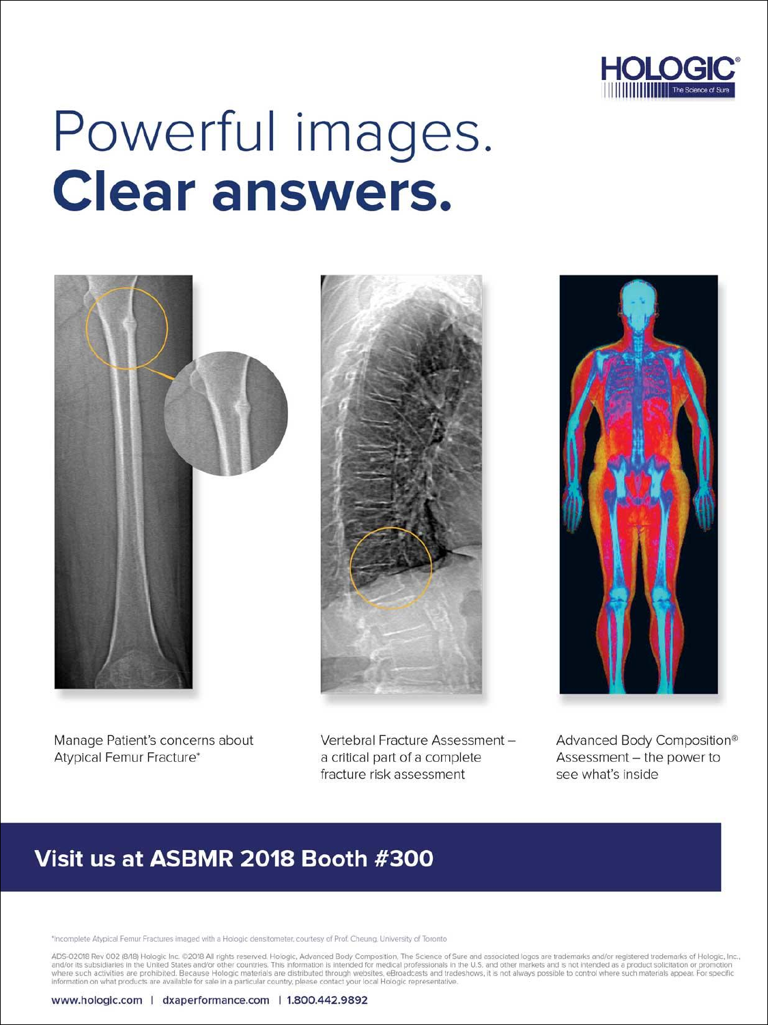

# Powerful images. **Clear answers.**







Manage Patient's concerns about Atypical Femur Fracture\*

Vertebral Fracture Assessment a critical part of a complete fracture risk assessment

Advanced Body Composition® Assessment - the power to see what's inside

# Visit us at ASBMR 2018 Booth #300

\*Incomplete Atypical Femur Fractures imaged with a Hologic densitometer, courtesy of Prof. Cheung, University of Toronto

ADS-02018 Rev 002 (8/18) Hologic Inc. ©2018 All rights reserved. Hologic, Advanced Body Composition, The Science of Sure and associated logos are trademarks and/or registered trademarks of Hologic, Inc., and/or its subsidi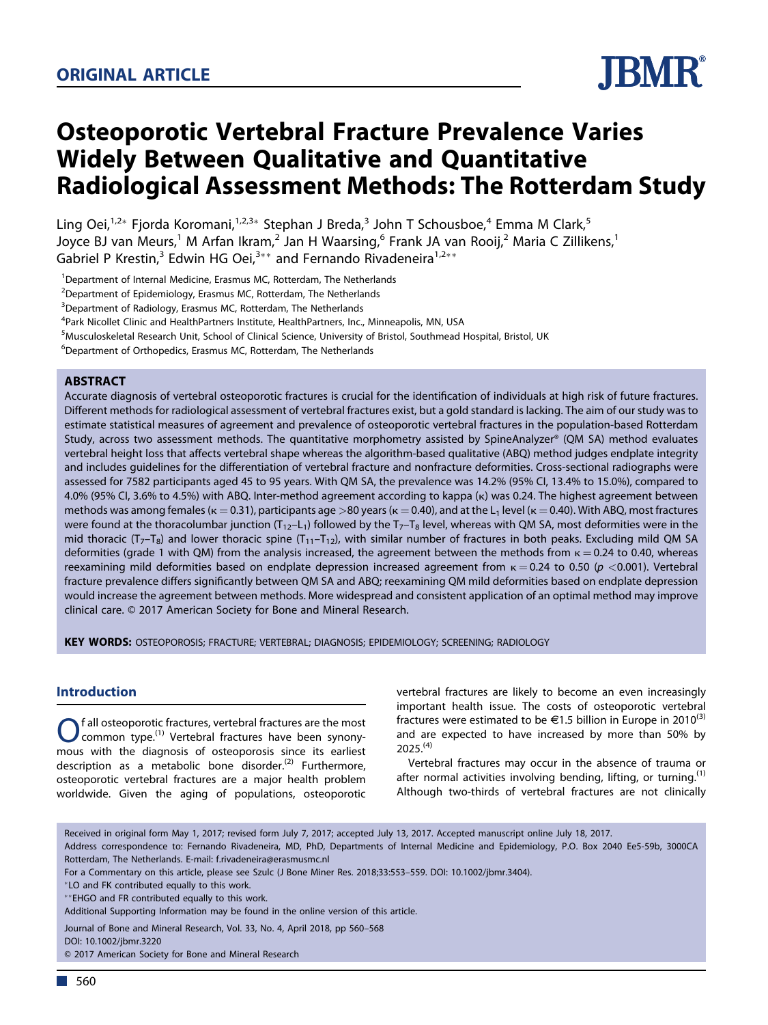

# **Osteoporotic Vertebral Fracture Prevalence Varies Widely Between Qualitative and Quantitative Radiological Assessment Methods: The Rotterdam Study**

Ling Oei,<sup>1,2\*</sup> Fjorda Koromani,<sup>1,2,3\*</sup> Stephan J Breda,<sup>3</sup> John T Schousboe,<sup>4</sup> Emma M Clark,<sup>5</sup> Joyce BJ van Meurs,<sup>1</sup> M Arfan Ikram,<sup>2</sup> Jan H Waarsing,<sup>6</sup> Frank JA van Rooij,<sup>2</sup> Maria C Zillikens,<sup>1</sup> Gabriel P Krestin,<sup>3</sup> Edwin HG Oei,<sup>3\*\*</sup> and Fernando Rivadeneira<sup>1,2\*\*</sup>

<sup>1</sup>Department of Internal Medicine, Erasmus MC, Rotterdam, The Netherlands

 $2$ Department of Epidemiology, Erasmus MC, Rotterdam, The Netherlands

<sup>3</sup>Department of Radiology, Erasmus MC, Rotterdam, The Netherlands

<sup>4</sup>Park Nicollet Clinic and HealthPartners Institute, HealthPartners, Inc., Minneapolis, MN, USA

<sup>5</sup>Musculoskeletal Research Unit, School of Clinical Science, University of Bristol, Southmead Hospital, Bristol, UK

<sup>6</sup>Department of Orthopedics, Erasmus MC, Rotterdam, The Netherlands

## **ABSTRACT**

Accurate diagnosis of vertebral osteoporotic fractures is crucial for the identification of individuals at high risk of future fractures. Different methods for radiological assessment of vertebral fractures exist, but a gold standard is lacking. The aim of our study was to estimate statistical measures of agreement and prevalence of osteoporotic vertebral fractures in the population-based Rotterdam Study, across two assessment methods. The quantitative morphometry assisted by SpineAnalyzer® (QM SA) method evaluates vertebral height loss that affects vertebral shape whereas the algorithm-based qualitative (ABQ) method judges endplate integrity and includes guidelines for the differentiation of vertebral fracture and nonfracture deformities. Cross-sectional radiographs were assessed for 7582 participants aged 45 to 95 years. With QM SA, the prevalence was 14.2% (95% CI, 13.4% to 15.0%), compared to 4.0% (95% CI, 3.6% to 4.5%) with ABQ. Inter-method agreement according to kappa (k) was 0.24. The highest agreement between methods was among females ( $\kappa$  = 0.31), participants age >80 years ( $\kappa$  = 0.40), and at the L<sub>1</sub> level ( $\kappa$  = 0.40). With ABQ, most fractures were found at the thoracolumbar junction ( $T_{12}-L_1$ ) followed by the  $T_7-T_8$  level, whereas with QM SA, most deformities were in the mid thoracic ( $T_7$ –T<sub>8</sub>) and lower thoracic spine ( $T_{11}$ –T<sub>12</sub>), with similar number of fractures in both peaks. Excluding mild QM SA deformities (grade 1 with QM) from the analysis increased, the agreement between the methods from  $\kappa = 0.24$  to 0.40, whereas reexamining mild deformities based on endplate depression increased agreement from  $k = 0.24$  to 0.50 (p <0.001). Vertebral fracture prevalence differs significantly between QM SA and ABQ; reexamining QM mild deformities based on endplate depression would increase the agreement between methods. More widespread and consistent application of an optimal method may improve clinical care. © 2017 American Society for Bone and Mineral Research.

**KEY WORDS:** OSTEOPOROSIS; FRACTURE; VERTEBRAL; DIAGNOSIS; EPIDEMIOLOGY; SCREENING; RADIOLOGY

# **Introduction**

**O** fall osteoporotic fractures, vertebral fractures are the most common type.<sup>(1)</sup> Vertebral fractures have been synony-<br>mous with the diagnosis of osteoporosis since its earliest f all osteoporotic fractures, vertebral fractures are the most common type.<sup>(1)</sup> Vertebral fractures have been synonydescription as a metabolic bone disorder.<sup>(2)</sup> Furthermore, osteoporotic vertebral fractures are a major health problem worldwide. Given the aging of populations, osteoporotic vertebral fractures are likely to become an even increasingly important health issue. The costs of osteoporotic vertebral fractures were estimated to be  $\epsilon$ 1.5 billion in Europe in 2010<sup>(3)</sup> and are expected to have increased by more than 50% by 2025.(4)

Vertebral fractures may occur in the absence of trauma or after normal activities involving bending, lifting, or turning.<sup>(1)</sup> Although two-thirds of vertebral fractures are not clinically

DOI: 10.1002/jbmr.3220

© 2017 American Society for Bone and Mineral Research

Received in original form May 1, 2017; revised form July 7, 2017; accepted July 13, 2017. Accepted manuscript online July 18, 2017.

Address correspondence to: Fernando Rivadeneira, MD, PhD, Departments of Internal Medicine and Epidemiology, P.O. Box 2040 Ee5-59b, 3000CA Rotterdam, The Netherlands. E-mail: f.rivadeneira@erasmusmc.nl

For a Commentary on this article, please see Szulc (J Bone Miner Res. 2018;33:553–559. DOI: 10.1002/jbmr.3404).

LO and FK contributed equally to this work.

EHGO and FR contributed equally to this work.

Additional Supporting Information may be found in the online version of this article.

Journal of Bone and Mineral Research, Vol. 33, No. 4, April 2018, pp 560–568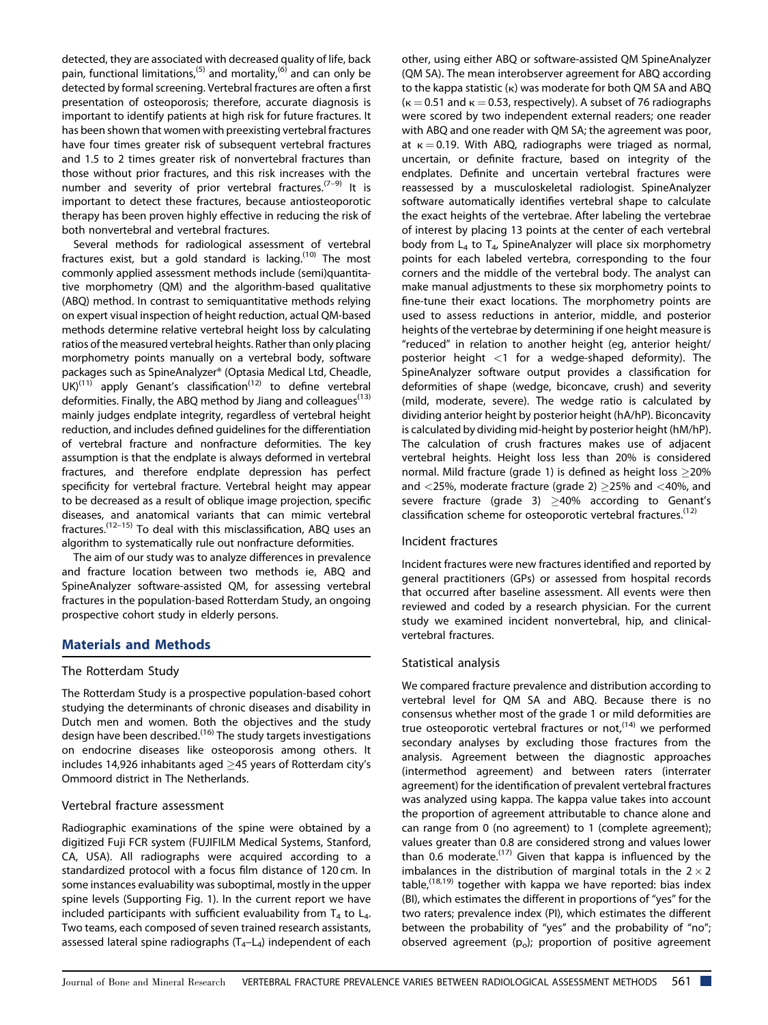detected, they are associated with decreased quality of life, back pain, functional limitations,<sup>(5)</sup> and mortality,<sup>(6)</sup> and can only be detected by formal screening. Vertebral fractures are often a first presentation of osteoporosis; therefore, accurate diagnosis is important to identify patients at high risk for future fractures. It has been shown that women with preexisting vertebral fractures have four times greater risk of subsequent vertebral fractures and 1.5 to 2 times greater risk of nonvertebral fractures than those without prior fractures, and this risk increases with the number and severity of prior vertebral fractures.<sup> $(7-9)$ </sup> It is important to detect these fractures, because antiosteoporotic therapy has been proven highly effective in reducing the risk of both nonvertebral and vertebral fractures.

Several methods for radiological assessment of vertebral fractures exist, but a gold standard is lacking.<sup>(10)</sup> The most commonly applied assessment methods include (semi)quantitative morphometry (QM) and the algorithm-based qualitative (ABQ) method. In contrast to semiquantitative methods relying on expert visual inspection of height reduction, actual QM-based methods determine relative vertebral height loss by calculating ratios of the measured vertebral heights. Rather than only placing morphometry points manually on a vertebral body, software packages such as SpineAnalyzer® (Optasia Medical Ltd, Cheadle,  $UK(11)$  apply Genant's classification<sup>(12)</sup> to define vertebral deformities. Finally, the ABQ method by Jiang and colleagues $(13)$ mainly judges endplate integrity, regardless of vertebral height reduction, and includes defined guidelines for the differentiation of vertebral fracture and nonfracture deformities. The key assumption is that the endplate is always deformed in vertebral fractures, and therefore endplate depression has perfect specificity for vertebral fracture. Vertebral height may appear to be decreased as a result of oblique image projection, specific diseases, and anatomical variants that can mimic vertebral fractures.(12–15) To deal with this misclassification, ABQ uses an algorithm to systematically rule out nonfracture deformities.

The aim of our study was to analyze differences in prevalence and fracture location between two methods ie, ABQ and SpineAnalyzer software-assisted QM, for assessing vertebral fractures in the population-based Rotterdam Study, an ongoing prospective cohort study in elderly persons.

# **Materials and Methods**

#### The Rotterdam Study

The Rotterdam Study is a prospective population-based cohort studying the determinants of chronic diseases and disability in Dutch men and women. Both the objectives and the study design have been described.<sup>(16)</sup> The study targets investigations on endocrine diseases like osteoporosis among others. It includes 14,926 inhabitants aged  $\geq$ 45 years of Rotterdam city's Ommoord district in The Netherlands.

#### Vertebral fracture assessment

Radiographic examinations of the spine were obtained by a digitized Fuji FCR system (FUJIFILM Medical Systems, Stanford, CA, USA). All radiographs were acquired according to a standardized protocol with a focus film distance of 120 cm. In some instances evaluability was suboptimal, mostly in the upper spine levels (Supporting Fig. 1). In the current report we have included participants with sufficient evaluability from  $T_4$  to  $L_4$ . Two teams, each composed of seven trained research assistants, assessed lateral spine radiographs  $(T_4-L_4)$  independent of each other, using either ABQ or software-assisted QM SpineAnalyzer (QM SA). The mean interobserver agreement for ABQ according to the kappa statistic  $(\kappa)$  was moderate for both QM SA and ABQ  $(k = 0.51$  and  $k = 0.53$ , respectively). A subset of 76 radiographs were scored by two independent external readers; one reader with ABQ and one reader with QM SA; the agreement was poor, at  $\kappa = 0.19$ . With ABQ, radiographs were triaged as normal, uncertain, or definite fracture, based on integrity of the endplates. Definite and uncertain vertebral fractures were reassessed by a musculoskeletal radiologist. SpineAnalyzer software automatically identifies vertebral shape to calculate the exact heights of the vertebrae. After labeling the vertebrae of interest by placing 13 points at the center of each vertebral body from  $L_4$  to  $T_4$ , SpineAnalyzer will place six morphometry points for each labeled vertebra, corresponding to the four corners and the middle of the vertebral body. The analyst can make manual adjustments to these six morphometry points to fine-tune their exact locations. The morphometry points are used to assess reductions in anterior, middle, and posterior heights of the vertebrae by determining if one height measure is "reduced" in relation to another height (eg, anterior height/ posterior height  $\langle 1 \rangle$  for a wedge-shaped deformity). The SpineAnalyzer software output provides a classification for deformities of shape (wedge, biconcave, crush) and severity (mild, moderate, severe). The wedge ratio is calculated by dividing anterior height by posterior height (hA/hP). Biconcavity is calculated by dividing mid-height by posterior height (hM/hP). The calculation of crush fractures makes use of adjacent vertebral heights. Height loss less than 20% is considered normal. Mild fracture (grade 1) is defined as height loss  $\geq$ 20% and  $\langle 25\%$ , moderate fracture (grade 2)  $\geq$  25% and  $\langle 40\%$ , and severe fracture (grade 3)  $\geq$ 40% according to Genant's classification scheme for osteoporotic vertebral fractures.<sup>(12)</sup>

#### Incident fractures

Incident fractures were new fractures identified and reported by general practitioners (GPs) or assessed from hospital records that occurred after baseline assessment. All events were then reviewed and coded by a research physician. For the current study we examined incident nonvertebral, hip, and clinicalvertebral fractures.

#### Statistical analysis

We compared fracture prevalence and distribution according to vertebral level for QM SA and ABQ. Because there is no consensus whether most of the grade 1 or mild deformities are true osteoporotic vertebral fractures or not,  $(14)$  we performed secondary analyses by excluding those fractures from the analysis. Agreement between the diagnostic approaches (intermethod agreement) and between raters (interrater agreement) for the identification of prevalent vertebral fractures was analyzed using kappa. The kappa value takes into account the proportion of agreement attributable to chance alone and can range from 0 (no agreement) to 1 (complete agreement); values greater than 0.8 are considered strong and values lower than 0.6 moderate.<sup>(17)</sup> Given that kappa is influenced by the imbalances in the distribution of marginal totals in the  $2 \times 2$ table,  $(18,19)$  together with kappa we have reported: bias index (BI), which estimates the different in proportions of "yes" for the two raters; prevalence index (PI), which estimates the different between the probability of "yes" and the probability of "no"; observed agreement  $(p_0)$ ; proportion of positive agreement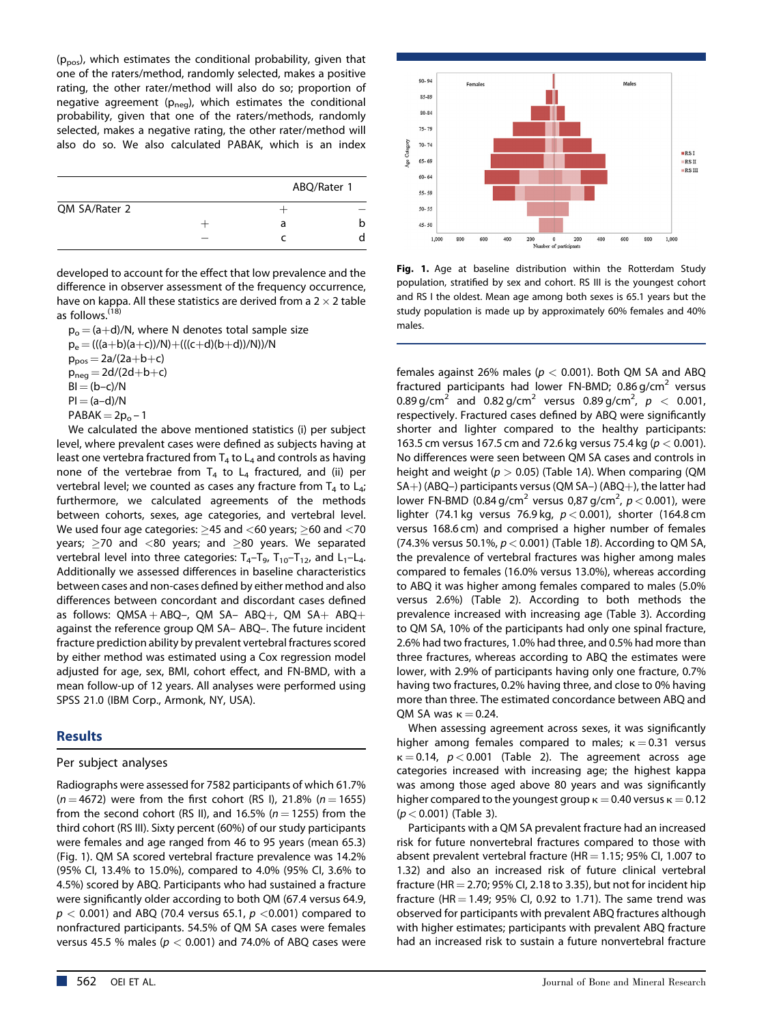$(p_{pos})$ , which estimates the conditional probability, given that one of the raters/method, randomly selected, makes a positive rating, the other rater/method will also do so; proportion of negative agreement ( $p_{neq}$ ), which estimates the conditional probability, given that one of the raters/methods, randomly selected, makes a negative rating, the other rater/method will also do so. We also calculated PABAK, which is an index

|               | ABQ/Rater 1 |   |
|---------------|-------------|---|
| QM SA/Rater 2 |             |   |
|               | a           | b |
|               |             |   |
|               |             |   |

developed to account for the effect that low prevalence and the difference in observer assessment of the frequency occurrence, have on kappa. All these statistics are derived from a  $2 \times 2$  table as follows.(18)

 $p_0 = (a+d)/N$ , where N denotes total sample size  $p_e = (((a+b)(a+c))/N)+(((c+d)(b+d))/N))/N$  $p_{pos} = 2a/(2a+b+c)$  $p_{neq} = 2d/(2d+b+c)$  $BI = (b-c)/N$  $PI = (a-d)/N$  $PABAK = 2p_0 - 1$ 

We calculated the above mentioned statistics (i) per subject level, where prevalent cases were defined as subjects having at least one vertebra fractured from  $T_4$  to  $L_4$  and controls as having none of the vertebrae from  $T_4$  to  $L_4$  fractured, and (ii) per vertebral level; we counted as cases any fracture from  $T_4$  to  $L_4$ ; furthermore, we calculated agreements of the methods between cohorts, sexes, age categories, and vertebral level. We used four age categories:  $>45$  and  $<$  60 years;  $>$  60 and  $<$  70 years;  $>$ 70 and <80 years; and  $>$ 80 years. We separated vertebral level into three categories:  $T_4 - T_9$ ,  $T_{10} - T_{12}$ , and  $L_1 - L_4$ . Additionally we assessed differences in baseline characteristics between cases and non-cases defined by either method and also differences between concordant and discordant cases defined as follows:  $QMSA + ABQ$ –,  $QM SA- ABQ+$ ,  $QM SA+ ABQ+$ against the reference group QM SA– ABQ–. The future incident fracture prediction ability by prevalent vertebral fractures scored by either method was estimated using a Cox regression model adjusted for age, sex, BMI, cohort effect, and FN-BMD, with a mean follow-up of 12 years. All analyses were performed using SPSS 21.0 (IBM Corp., Armonk, NY, USA).

# **Results**

#### Per subject analyses

Radiographs were assessed for 7582 participants of which 61.7%  $(n = 4672)$  were from the first cohort (RS I), 21.8% (n = 1655) from the second cohort (RS II), and 16.5% ( $n = 1255$ ) from the third cohort (RS III). Sixty percent (60%) of our study participants were females and age ranged from 46 to 95 years (mean 65.3) (Fig. 1). QM SA scored vertebral fracture prevalence was 14.2% (95% CI, 13.4% to 15.0%), compared to 4.0% (95% CI, 3.6% to 4.5%) scored by ABQ. Participants who had sustained a fracture were significantly older according to both QM (67.4 versus 64.9,  $p < 0.001$ ) and ABQ (70.4 versus 65.1,  $p < 0.001$ ) compared to nonfractured participants. 54.5% of QM SA cases were females versus 45.5 % males ( $p < 0.001$ ) and 74.0% of ABQ cases were



**Fig. 1.** Age at baseline distribution within the Rotterdam Study population, stratified by sex and cohort. RS III is the youngest cohort and RS I the oldest. Mean age among both sexes is 65.1 years but the study population is made up by approximately 60% females and 40% males.

females against 26% males ( $p < 0.001$ ). Both QM SA and ABQ fractured participants had lower FN-BMD; 0.86 g/cm<sup>2</sup> versus 0.89 g/cm<sup>2</sup> and 0.82 g/cm<sup>2</sup> versus 0.89 g/cm<sup>2</sup>,  $p < 0.001$ , respectively. Fractured cases defined by ABQ were significantly shorter and lighter compared to the healthy participants: 163.5 cm versus 167.5 cm and 72.6 kg versus 75.4 kg ( $p < 0.001$ ). No differences were seen between QM SA cases and controls in height and weight ( $p > 0.05$ ) (Table 1A). When comparing (QM  $SA+$ ) (ABQ-) participants versus (QM SA-) (ABQ+), the latter had lower FN-BMD (0.84 g/cm $^2$  versus 0,87 g/cm $^2$ ,  $p$   $<$  0.001), were lighter (74.1 kg versus 76.9 kg,  $p < 0.001$ ), shorter (164.8 cm versus 168.6 cm) and comprised a higher number of females (74.3% versus 50.1%,  $p < 0.001$ ) (Table 1B). According to QM SA, the prevalence of vertebral fractures was higher among males compared to females (16.0% versus 13.0%), whereas according to ABQ it was higher among females compared to males (5.0% versus 2.6%) (Table 2). According to both methods the prevalence increased with increasing age (Table 3). According to QM SA, 10% of the participants had only one spinal fracture, 2.6% had two fractures, 1.0% had three, and 0.5% had more than three fractures, whereas according to ABQ the estimates were lower, with 2.9% of participants having only one fracture, 0.7% having two fractures, 0.2% having three, and close to 0% having more than three. The estimated concordance between ABQ and QM SA was  $\kappa = 0.24$ .

When assessing agreement across sexes, it was significantly higher among females compared to males;  $\kappa = 0.31$  versus  $\kappa = 0.14$ ,  $p < 0.001$  (Table 2). The agreement across age categories increased with increasing age; the highest kappa was among those aged above 80 years and was significantly higher compared to the youngest group  $\kappa = 0.40$  versus  $\kappa = 0.12$  $(p < 0.001)$  (Table 3).

Participants with a QM SA prevalent fracture had an increased risk for future nonvertebral fractures compared to those with absent prevalent vertebral fracture (HR  $=$  1.15; 95% CI, 1.007 to 1.32) and also an increased risk of future clinical vertebral fracture (HR  $=$  2.70; 95% CI, 2.18 to 3.35), but not for incident hip fracture (HR  $=$  1.49; 95% CI, 0.92 to 1.71). The same trend was observed for participants with prevalent ABQ fractures although with higher estimates; participants with prevalent ABQ fracture had an increased risk to sustain a future nonvertebral fracture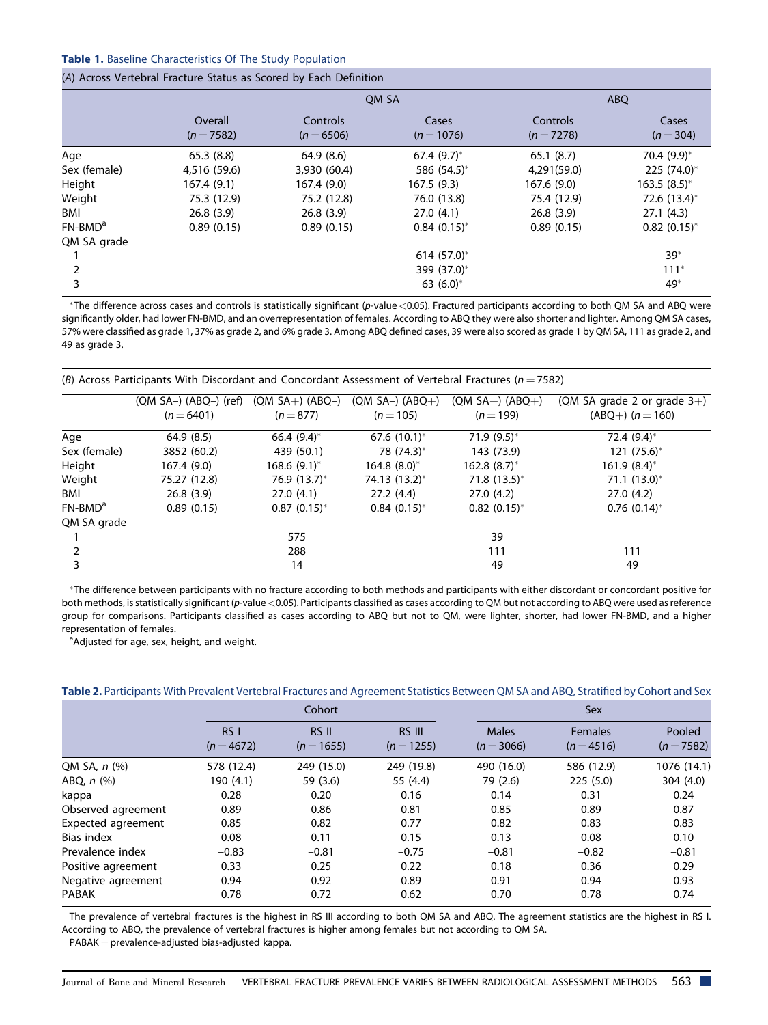#### **Table 1.** Baseline Characteristics Of The Study Population

#### (A) Across Vertebral Fracture Status as Scored by Each Definition

|              |                       |                        | OM SA               | <b>ABO</b>             |                    |  |
|--------------|-----------------------|------------------------|---------------------|------------------------|--------------------|--|
|              | Overall<br>$(n=7582)$ | Controls<br>$(n=6506)$ | Cases<br>$(n=1076)$ | Controls<br>$(n=7278)$ | Cases<br>$(n=304)$ |  |
| Age          | 65.3(8.8)             | 64.9(8.6)              | 67.4 $(9.7)^*$      | 65.1(8.7)              | 70.4 (9.9)*        |  |
| Sex (female) | 4,516 (59.6)          | 3,930 (60.4)           | 586 (54.5)*         | 4,291(59.0)            | 225 (74.0)*        |  |
| Height       | 167.4 (9.1)           | 167.4 (9.0)            | 167.5 (9.3)         | 167.6(9.0)             | $163.5(8.5)^*$     |  |
| Weight       | 75.3 (12.9)           | 75.2 (12.8)            | 76.0 (13.8)         | 75.4 (12.9)            | 72.6 (13.4)*       |  |
| BMI          | 26.8(3.9)             | 26.8(3.9)              | 27.0(4.1)           | 26.8(3.9)              | 27.1(4.3)          |  |
| $FN-BMDa$    | 0.89(0.15)            | 0.89(0.15)             | $0.84(0.15)^{*}$    | 0.89(0.15)             | $0.82(0.15)^*$     |  |
| QM SA grade  |                       |                        |                     |                        |                    |  |
|              |                       |                        | 614 $(57.0)^*$      |                        | $39*$              |  |
| 2            |                       |                        | 399 (37.0)*         |                        | $111*$             |  |
| 3            |                       |                        | 63 $(6.0)^*$        |                        | 49*                |  |

The difference across cases and controls is statistically significant (p-value <0.05). Fractured participants according to both QM SA and ABQ were significantly older, had lower FN-BMD, and an overrepresentation of females. According to ABQ they were also shorter and lighter. Among QM SA cases, 57% were classified as grade 1, 37% as grade 2, and 6% grade 3. Among ABQ defined cases, 39 were also scored as grade 1 by QM SA, 111 as grade 2, and 49 as grade 3.

| (B) Across Participants With Discordant and Concordant Assessment of Vertebral Fractures ( $n = 7582$ ) |                                       |                                |                                |                                  |                                                        |  |  |  |
|---------------------------------------------------------------------------------------------------------|---------------------------------------|--------------------------------|--------------------------------|----------------------------------|--------------------------------------------------------|--|--|--|
|                                                                                                         | $(QM SA-) (ABQ-) (ref)$<br>$(n=6401)$ | $(QM SA+) (ABQ-)$<br>$(n=877)$ | $(QM SA-) (ABQ+)$<br>$(n=105)$ | $(QM SA+) (ABQ+)$<br>$(n = 199)$ | (QM SA grade 2 or grade $3+$ )<br>$(ABQ+)$ $(n = 160)$ |  |  |  |
| Age                                                                                                     | 64.9(8.5)                             | 66.4 $(9.4)^*$                 | 67.6 $(10.1)^*$                | $71.9(9.5)^*$                    | 72.4 $(9.4)^*$                                         |  |  |  |
| Sex (female)                                                                                            | 3852 (60.2)                           | 439 (50.1)                     | 78 (74.3)*                     | 143 (73.9)                       | $121 (75.6)^*$                                         |  |  |  |
| Height                                                                                                  | 167.4 (9.0)                           | $168.6(9.1)^{*}$               | $164.8(8.0)$ *                 | $162.8(8.7)^{*}$                 | $161.9(8.4)$ *                                         |  |  |  |
| Weight                                                                                                  | 75.27 (12.8)                          | 76.9 $(13.7)^*$                | 74.13 (13.2)*                  | $71.8(13.5)^*$                   | $71.1 (13.0)^*$                                        |  |  |  |
| BMI                                                                                                     | 26.8(3.9)                             | 27.0(4.1)                      | 27.2(4.4)                      | 27.0(4.2)                        | 27.0(4.2)                                              |  |  |  |
| $FN-BMDa$                                                                                               | 0.89(0.15)                            | $0.87(0.15)^*$                 | $0.84(0.15)^{*}$               | $0.82(0.15)^*$                   | $0.76$ (0.14) <sup>*</sup>                             |  |  |  |
| QM SA grade                                                                                             |                                       |                                |                                |                                  |                                                        |  |  |  |
|                                                                                                         |                                       | 575                            |                                | 39                               |                                                        |  |  |  |
|                                                                                                         |                                       | 288                            |                                | 111                              | 111                                                    |  |  |  |
| 3                                                                                                       |                                       | 14                             |                                | 49                               | 49                                                     |  |  |  |

\*The difference between participants with no fracture according to both methods and participants with either discordant or concordant positive for both methods, is statistically significant (p-value <0.05). Participants classified as cases according to QM but not according to ABQ were used as reference group for comparisons. Participants classified as cases according to ABQ but not to QM, were lighter, shorter, had lower FN-BMD, and a higher representation of females.

<sup>a</sup>Adjusted for age, sex, height, and weight.

|                    |                     | Cohort                |                      | <b>Sex</b>                   |                              |                      |  |  |
|--------------------|---------------------|-----------------------|----------------------|------------------------------|------------------------------|----------------------|--|--|
|                    | RSI<br>$(n = 4672)$ | RS II<br>$(n = 1655)$ | RS III<br>$(n=1255)$ | <b>Males</b><br>$(n = 3066)$ | <b>Females</b><br>$(n=4516)$ | Pooled<br>$(n=7582)$ |  |  |
| QM SA, n (%)       | 578 (12.4)          | 249 (15.0)            | 249 (19.8)           | 490 (16.0)                   | 586 (12.9)                   | 1076 (14.1)          |  |  |
| ABQ, $n$ $(\%)$    | 190 (4.1)           | 59 (3.6)              | 55 (4.4)             | 79 (2.6)                     | 225(5.0)                     | 304(4.0)             |  |  |
| kappa              | 0.28                | 0.20                  | 0.16                 | 0.14                         | 0.31                         | 0.24                 |  |  |
| Observed agreement | 0.89                | 0.86                  | 0.81                 | 0.85                         | 0.89                         | 0.87                 |  |  |
| Expected agreement | 0.85                | 0.82                  | 0.77                 | 0.82                         | 0.83                         | 0.83                 |  |  |
| Bias index         | 0.08                | 0.11                  | 0.15                 | 0.13                         | 0.08                         | 0.10                 |  |  |
| Prevalence index   | $-0.83$             | $-0.81$               | $-0.75$              | $-0.81$                      | $-0.82$                      | $-0.81$              |  |  |
| Positive agreement | 0.33                | 0.25                  | 0.22                 | 0.18                         | 0.36                         | 0.29                 |  |  |
| Negative agreement | 0.94                | 0.92                  | 0.89                 | 0.91                         | 0.94                         | 0.93                 |  |  |
| <b>PABAK</b>       | 0.78                | 0.72                  | 0.62                 | 0.70                         | 0.78                         | 0.74                 |  |  |

**Table 2.** Participants With Prevalent Vertebral Fractures and Agreement Statistics Between QM SA and ABQ, Stratified by Cohort and Sex

The prevalence of vertebral fractures is the highest in RS III according to both QM SA and ABQ. The agreement statistics are the highest in RS I. According to ABQ, the prevalence of vertebral fractures is higher among females but not according to QM SA.

 $PABAK = prevalence-adjusted bias-adjusted kappa.$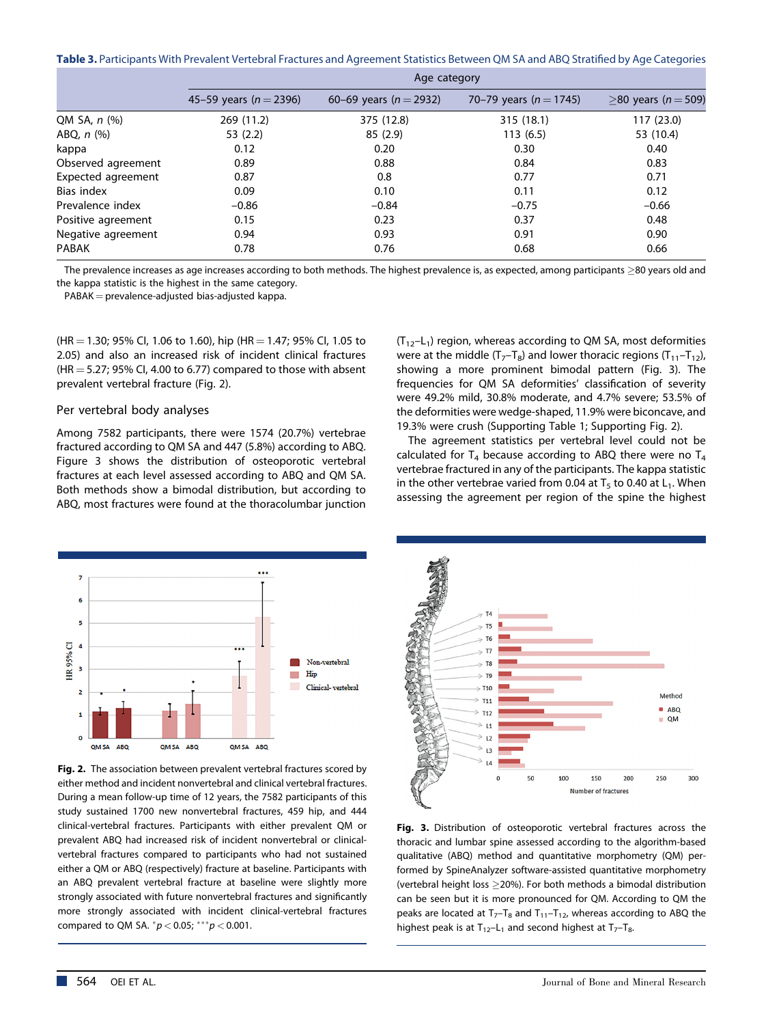**Table 3.** Participants With Prevalent Vertebral Fractures and Agreement Statistics Between QM SA and ABQ Stratified by Age Categories

|                    | Age category               |                            |                            |                       |  |  |  |  |  |
|--------------------|----------------------------|----------------------------|----------------------------|-----------------------|--|--|--|--|--|
|                    | 45–59 years ( $n = 2396$ ) | 60–69 years ( $n = 2932$ ) | 70–79 years ( $n = 1745$ ) | $>80$ years (n = 509) |  |  |  |  |  |
| QM SA, n (%)       | 269 (11.2)                 | 375 (12.8)                 | 315 (18.1)                 | 117 (23.0)            |  |  |  |  |  |
| ABQ, $n$ $(\%)$    | 53(2.2)                    | 85(2.9)                    | 113(6.5)                   | 53 (10.4)             |  |  |  |  |  |
| kappa              | 0.12                       | 0.20                       | 0.30                       | 0.40                  |  |  |  |  |  |
| Observed agreement | 0.89                       | 0.88                       | 0.84                       | 0.83                  |  |  |  |  |  |
| Expected agreement | 0.87                       | 0.8                        | 0.77                       | 0.71                  |  |  |  |  |  |
| Bias index         | 0.09                       | 0.10                       | 0.11                       | 0.12                  |  |  |  |  |  |
| Prevalence index   | $-0.86$                    | $-0.84$                    | $-0.75$                    | $-0.66$               |  |  |  |  |  |
| Positive agreement | 0.15                       | 0.23                       | 0.37                       | 0.48                  |  |  |  |  |  |
| Negative agreement | 0.94                       | 0.93                       | 0.91                       | 0.90                  |  |  |  |  |  |
| <b>PABAK</b>       | 0.78                       | 0.76                       | 0.68                       | 0.66                  |  |  |  |  |  |

The prevalence increases as age increases according to both methods. The highest prevalence is, as expected, among participants  $\geq$ 80 years old and the kappa statistic is the highest in the same category.

 $PABAK = prevalence-adjusted bias-adjusted kappa.$ 

 $(HR = 1.30; 95\%$  Cl, 1.06 to 1.60), hip (HR = 1.47; 95% Cl, 1.05 to 2.05) and also an increased risk of incident clinical fractures  $(HR = 5.27; 95\%$  CI, 4.00 to 6.77) compared to those with absent prevalent vertebral fracture (Fig. 2).

#### Per vertebral body analyses

Among 7582 participants, there were 1574 (20.7%) vertebrae fractured according to QM SA and 447 (5.8%) according to ABQ. Figure 3 shows the distribution of osteoporotic vertebral fractures at each level assessed according to ABQ and QM SA. Both methods show a bimodal distribution, but according to ABQ, most fractures were found at the thoracolumbar junction  $(T_{12}-L_1)$  region, whereas according to QM SA, most deformities were at the middle  $(T_7-T_8)$  and lower thoracic regions  $(T_{11}-T_{12})$ , showing a more prominent bimodal pattern (Fig. 3). The frequencies for QM SA deformities' classification of severity were 49.2% mild, 30.8% moderate, and 4.7% severe; 53.5% of the deformities were wedge-shaped, 11.9% were biconcave, and 19.3% were crush (Supporting Table 1; Supporting Fig. 2).

The agreement statistics per vertebral level could not be calculated for  $T_4$  because according to ABQ there were no  $T_4$ vertebrae fractured in any of the participants. The kappa statistic in the other vertebrae varied from 0.04 at  $T_5$  to 0.40 at  $L_1$ . When assessing the agreement per region of the spine the highest



**Fig. 2.** The association between prevalent vertebral fractures scored by either method and incident nonvertebral and clinical vertebral fractures. During a mean follow-up time of 12 years, the 7582 participants of this study sustained 1700 new nonvertebral fractures, 459 hip, and 444 clinical-vertebral fractures. Participants with either prevalent QM or prevalent ABQ had increased risk of incident nonvertebral or clinicalvertebral fractures compared to participants who had not sustained either a QM or ABQ (respectively) fracture at baseline. Participants with an ABQ prevalent vertebral fracture at baseline were slightly more strongly associated with future nonvertebral fractures and significantly more strongly associated with incident clinical-vertebral fractures compared to QM SA.  $^{*}p$  < 0.05;  $^{***}p$  < 0.001.



**Fig. 3.** Distribution of osteoporotic vertebral fractures across the thoracic and lumbar spine assessed according to the algorithm-based qualitative (ABQ) method and quantitative morphometry (QM) performed by SpineAnalyzer software-assisted quantitative morphometry (vertebral height loss 20%). For both methods a bimodal distribution can be seen but it is more pronounced for QM. According to QM the peaks are located at  $T_7$ – $T_8$  and  $T_{11}$ – $T_{12}$ , whereas according to ABQ the highest peak is at  $T_{12}-L_1$  and second highest at  $T_7-T_8$ .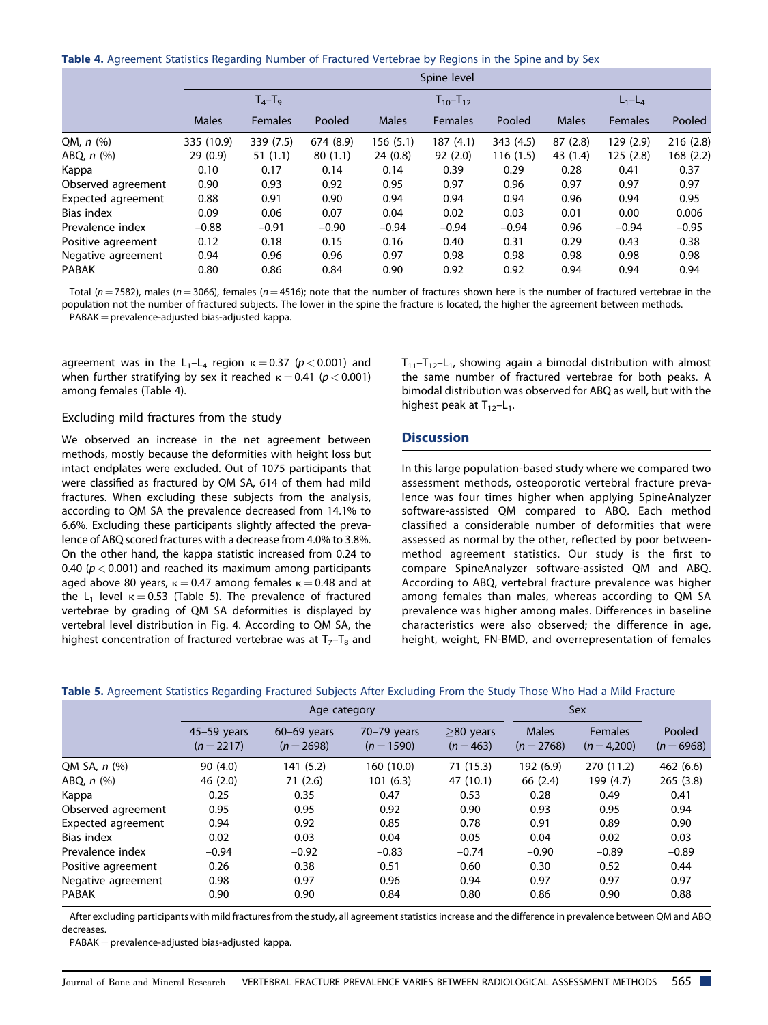**Table 4.** Agreement Statistics Regarding Number of Fractured Vertebrae by Regions in the Spine and by Sex

|                    | Spine level  |                |           |              |                   |          |              |                |           |  |
|--------------------|--------------|----------------|-----------|--------------|-------------------|----------|--------------|----------------|-----------|--|
|                    | $T_4 - T_9$  |                |           |              | $T_{10} - T_{12}$ |          |              | $L_1 - L_4$    |           |  |
|                    | <b>Males</b> | <b>Females</b> | Pooled    | <b>Males</b> | <b>Females</b>    | Pooled   | <b>Males</b> | <b>Females</b> | Pooled    |  |
| QM, $n$ (%)        | 335 (10.9)   | 339 (7.5)      | 674 (8.9) | 156 (5.1)    | 187(4.1)          | 343(4.5) | 87(2.8)      | 129(2.9)       | 216(2.8)  |  |
| ABQ, $n$ $(\%)$    | 29(0.9)      | 51(1.1)        | 80(1.1)   | 24(0.8)      | 92(2.0)           | 116(1.5) | 43 (1.4)     | 125(2.8)       | 168 (2.2) |  |
| Kappa              | 0.10         | 0.17           | 0.14      | 0.14         | 0.39              | 0.29     | 0.28         | 0.41           | 0.37      |  |
| Observed agreement | 0.90         | 0.93           | 0.92      | 0.95         | 0.97              | 0.96     | 0.97         | 0.97           | 0.97      |  |
| Expected agreement | 0.88         | 0.91           | 0.90      | 0.94         | 0.94              | 0.94     | 0.96         | 0.94           | 0.95      |  |
| Bias index         | 0.09         | 0.06           | 0.07      | 0.04         | 0.02              | 0.03     | 0.01         | 0.00           | 0.006     |  |
| Prevalence index   | $-0.88$      | $-0.91$        | $-0.90$   | $-0.94$      | $-0.94$           | $-0.94$  | 0.96         | $-0.94$        | $-0.95$   |  |
| Positive agreement | 0.12         | 0.18           | 0.15      | 0.16         | 0.40              | 0.31     | 0.29         | 0.43           | 0.38      |  |
| Negative agreement | 0.94         | 0.96           | 0.96      | 0.97         | 0.98              | 0.98     | 0.98         | 0.98           | 0.98      |  |
| <b>PABAK</b>       | 0.80         | 0.86           | 0.84      | 0.90         | 0.92              | 0.92     | 0.94         | 0.94           | 0.94      |  |

Total ( $n = 7582$ ), males ( $n = 3066$ ), females ( $n = 4516$ ); note that the number of fractures shown here is the number of fractured vertebrae in the population not the number of fractured subjects. The lower in the spine the fracture is located, the higher the agreement between methods.  $PABAK = prevalence-adjusted bias-adjusted kappa.$ 

agreement was in the  $L_1-L_4$  region  $\kappa = 0.37$  ( $p < 0.001$ ) and when further stratifying by sex it reached  $\kappa = 0.41$  ( $p < 0.001$ ) among females (Table 4).

#### Excluding mild fractures from the study

We observed an increase in the net agreement between methods, mostly because the deformities with height loss but intact endplates were excluded. Out of 1075 participants that were classified as fractured by QM SA, 614 of them had mild fractures. When excluding these subjects from the analysis, according to QM SA the prevalence decreased from 14.1% to 6.6%. Excluding these participants slightly affected the prevalence of ABQ scored fractures with a decrease from 4.0% to 3.8%. On the other hand, the kappa statistic increased from 0.24 to 0.40 ( $p < 0.001$ ) and reached its maximum among participants aged above 80 years,  $\kappa = 0.47$  among females  $\kappa = 0.48$  and at the L<sub>1</sub> level  $\kappa = 0.53$  (Table 5). The prevalence of fractured vertebrae by grading of QM SA deformities is displayed by vertebral level distribution in Fig. 4. According to QM SA, the highest concentration of fractured vertebrae was at  $T_7-T_8$  and

 $T_{11}-T_{12}-L_1$ , showing again a bimodal distribution with almost the same number of fractured vertebrae for both peaks. A bimodal distribution was observed for ABQ as well, but with the highest peak at  $T_{12}-L_1$ .

#### **Discussion**

In this large population-based study where we compared two assessment methods, osteoporotic vertebral fracture prevalence was four times higher when applying SpineAnalyzer software-assisted QM compared to ABQ. Each method classified a considerable number of deformities that were assessed as normal by the other, reflected by poor betweenmethod agreement statistics. Our study is the first to compare SpineAnalyzer software-assisted QM and ABQ. According to ABQ, vertebral fracture prevalence was higher among females than males, whereas according to QM SA prevalence was higher among males. Differences in baseline characteristics were also observed; the difference in age, height, weight, FN-BMD, and overrepresentation of females

| $45-59$ years<br>$(n=2217)$ | $60-69$ years<br>$(n = 2698)$ | $70-79$ years<br>$(n=1590)$ | $\geq$ 80 years<br>$(n=463)$ | <b>Males</b><br>$(n=2768)$ | <b>Females</b><br>$(n=4,200)$ | Pooled<br>$(n=6968)$ |
|-----------------------------|-------------------------------|-----------------------------|------------------------------|----------------------------|-------------------------------|----------------------|
| 90(4.0)                     | 141 (5.2)                     | 160 (10.0)                  | 71(15.3)                     | 192 (6.9)                  | 270 (11.2)                    | 462 (6.6)            |
| 46(2.0)                     | 71(2.6)                       | 101(6.3)                    | 47 (10.1)                    | 66 (2.4)                   | 199 (4.7)                     | 265(3.8)             |
| 0.25                        | 0.35                          | 0.47                        | 0.53                         | 0.28                       | 0.49                          | 0.41                 |
| 0.95                        | 0.95                          | 0.92                        | 0.90                         | 0.93                       | 0.95                          | 0.94                 |
| 0.94                        | 0.92                          | 0.85                        | 0.78                         | 0.91                       | 0.89                          | 0.90                 |
| 0.02                        | 0.03                          | 0.04                        | 0.05                         | 0.04                       | 0.02                          | 0.03                 |
| $-0.94$                     | $-0.92$                       | $-0.83$                     | $-0.74$                      | $-0.90$                    | $-0.89$                       | $-0.89$              |
| 0.26                        | 0.38                          | 0.51                        | 0.60                         | 0.30                       | 0.52                          | 0.44                 |
| 0.98                        | 0.97                          | 0.96                        | 0.94                         | 0.97                       | 0.97                          | 0.97                 |
| 0.90                        | 0.90                          | 0.84                        | 0.80                         | 0.86                       | 0.90                          | 0.88                 |
|                             |                               |                             | Age category                 |                            |                               | Sex                  |

**Table 5.** Agreement Statistics Regarding Fractured Subjects After Excluding From the Study Those Who Had a Mild Fracture

After excluding participants with mild fractures from the study, all agreement statistics increase and the difference in prevalence between QM and ABQ decreases.

 $PABAK = prevalence-adjusted bias-adjusted kappa.$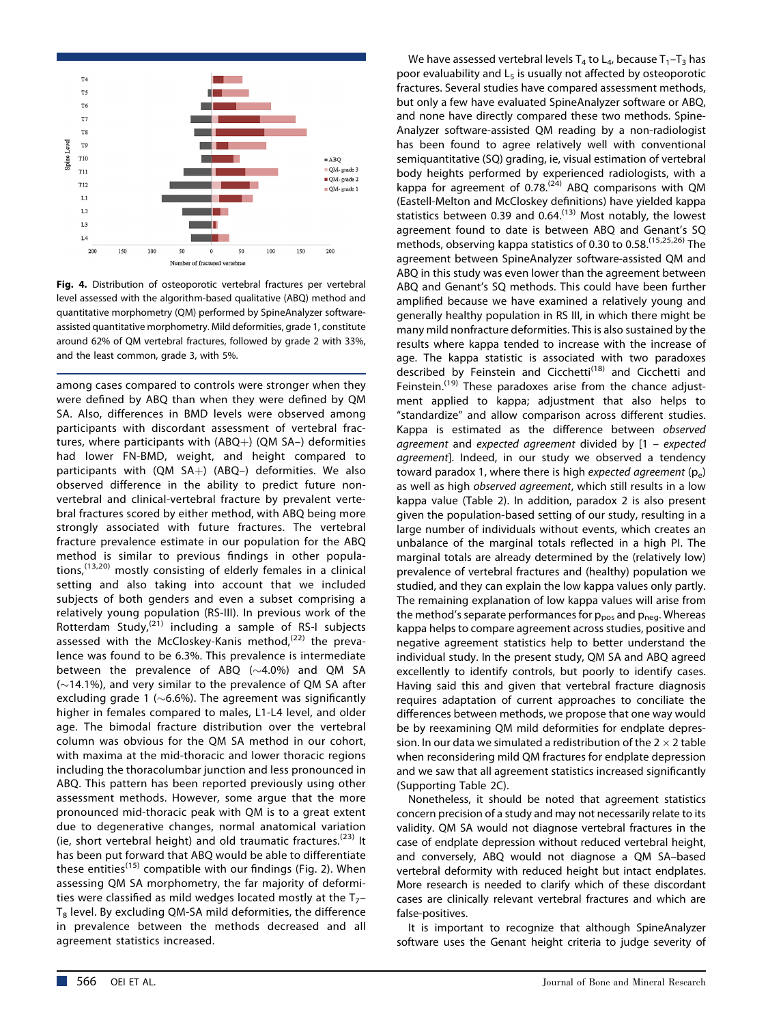

**Fig. 4.** Distribution of osteoporotic vertebral fractures per vertebral level assessed with the algorithm-based qualitative (ABQ) method and quantitative morphometry (QM) performed by SpineAnalyzer softwareassisted quantitative morphometry. Mild deformities, grade 1, constitute around 62% of QM vertebral fractures, followed by grade 2 with 33%, and the least common, grade 3, with 5%.

among cases compared to controls were stronger when they were defined by ABQ than when they were defined by QM SA. Also, differences in BMD levels were observed among participants with discordant assessment of vertebral fractures, where participants with  $(ABQ+)$  (QM SA-) deformities had lower FN-BMD, weight, and height compared to participants with (QM SA+) (ABQ-) deformities. We also observed difference in the ability to predict future nonvertebral and clinical-vertebral fracture by prevalent vertebral fractures scored by either method, with ABQ being more strongly associated with future fractures. The vertebral fracture prevalence estimate in our population for the ABQ method is similar to previous findings in other populations, $(13,20)$  mostly consisting of elderly females in a clinical setting and also taking into account that we included subjects of both genders and even a subset comprising a relatively young population (RS-III). In previous work of the Rotterdam Study, $(21)$  including a sample of RS-I subjects assessed with the McCloskey-Kanis method, $(22)$  the prevalence was found to be 6.3%. This prevalence is intermediate between the prevalence of ABQ  $(\sim4.0\%)$  and QM SA  $(\sim$ 14.1%), and very similar to the prevalence of QM SA after excluding grade 1 ( $\sim$ 6.6%). The agreement was significantly higher in females compared to males, L1-L4 level, and older age. The bimodal fracture distribution over the vertebral column was obvious for the QM SA method in our cohort, with maxima at the mid-thoracic and lower thoracic regions including the thoracolumbar junction and less pronounced in ABQ. This pattern has been reported previously using other assessment methods. However, some argue that the more pronounced mid-thoracic peak with QM is to a great extent due to degenerative changes, normal anatomical variation (ie, short vertebral height) and old traumatic fractures.<sup>(23)</sup> It has been put forward that ABQ would be able to differentiate these entities<sup>(15)</sup> compatible with our findings (Fig. 2). When assessing QM SA morphometry, the far majority of deformities were classified as mild wedges located mostly at the  $T_{7}$ - $T_8$  level. By excluding QM-SA mild deformities, the difference in prevalence between the methods decreased and all agreement statistics increased.

We have assessed vertebral levels  $T_4$  to  $L_4$ , because  $T_1$ – $T_3$  has poor evaluability and  $L_5$  is usually not affected by osteoporotic fractures. Several studies have compared assessment methods, but only a few have evaluated SpineAnalyzer software or ABQ, and none have directly compared these two methods. Spine-Analyzer software-assisted QM reading by a non-radiologist has been found to agree relatively well with conventional semiquantitative (SQ) grading, ie, visual estimation of vertebral body heights performed by experienced radiologists, with a kappa for agreement of  $0.78$ .<sup> $(24)$ </sup> ABQ comparisons with QM (Eastell-Melton and McCloskey definitions) have yielded kappa statistics between 0.39 and  $0.64$ .<sup> $(13)$ </sup> Most notably, the lowest agreement found to date is between ABQ and Genant's SQ methods, observing kappa statistics of 0.30 to 0.58.<sup>(15,25,26)</sup> The agreement between SpineAnalyzer software-assisted QM and ABQ in this study was even lower than the agreement between ABQ and Genant's SQ methods. This could have been further amplified because we have examined a relatively young and generally healthy population in RS III, in which there might be many mild nonfracture deformities. This is also sustained by the results where kappa tended to increase with the increase of age. The kappa statistic is associated with two paradoxes described by Feinstein and Cicchetti<sup>(18)</sup> and Cicchetti and Feinstein.<sup>(19)</sup> These paradoxes arise from the chance adjustment applied to kappa; adjustment that also helps to "standardize" and allow comparison across different studies. Kappa is estimated as the difference between observed agreement and expected agreement divided by [1 – expected agreement]. Indeed, in our study we observed a tendency toward paradox 1, where there is high expected agreement  $(p_e)$ as well as high observed agreement, which still results in a low kappa value (Table 2). In addition, paradox 2 is also present given the population-based setting of our study, resulting in a large number of individuals without events, which creates an unbalance of the marginal totals reflected in a high PI. The marginal totals are already determined by the (relatively low) prevalence of vertebral fractures and (healthy) population we studied, and they can explain the low kappa values only partly. The remaining explanation of low kappa values will arise from the method's separate performances for  $p_{\text{pos}}$  and  $p_{\text{neg}}$ . Whereas kappa helps to compare agreement across studies, positive and negative agreement statistics help to better understand the individual study. In the present study, QM SA and ABQ agreed excellently to identify controls, but poorly to identify cases. Having said this and given that vertebral fracture diagnosis requires adaptation of current approaches to conciliate the differences between methods, we propose that one way would be by reexamining QM mild deformities for endplate depression. In our data we simulated a redistribution of the  $2 \times 2$  table when reconsidering mild QM fractures for endplate depression and we saw that all agreement statistics increased significantly (Supporting Table 2C).

Nonetheless, it should be noted that agreement statistics concern precision of a study and may not necessarily relate to its validity. QM SA would not diagnose vertebral fractures in the case of endplate depression without reduced vertebral height, and conversely, ABQ would not diagnose a QM SA–based vertebral deformity with reduced height but intact endplates. More research is needed to clarify which of these discordant cases are clinically relevant vertebral fractures and which are false-positives.

It is important to recognize that although SpineAnalyzer software uses the Genant height criteria to judge severity of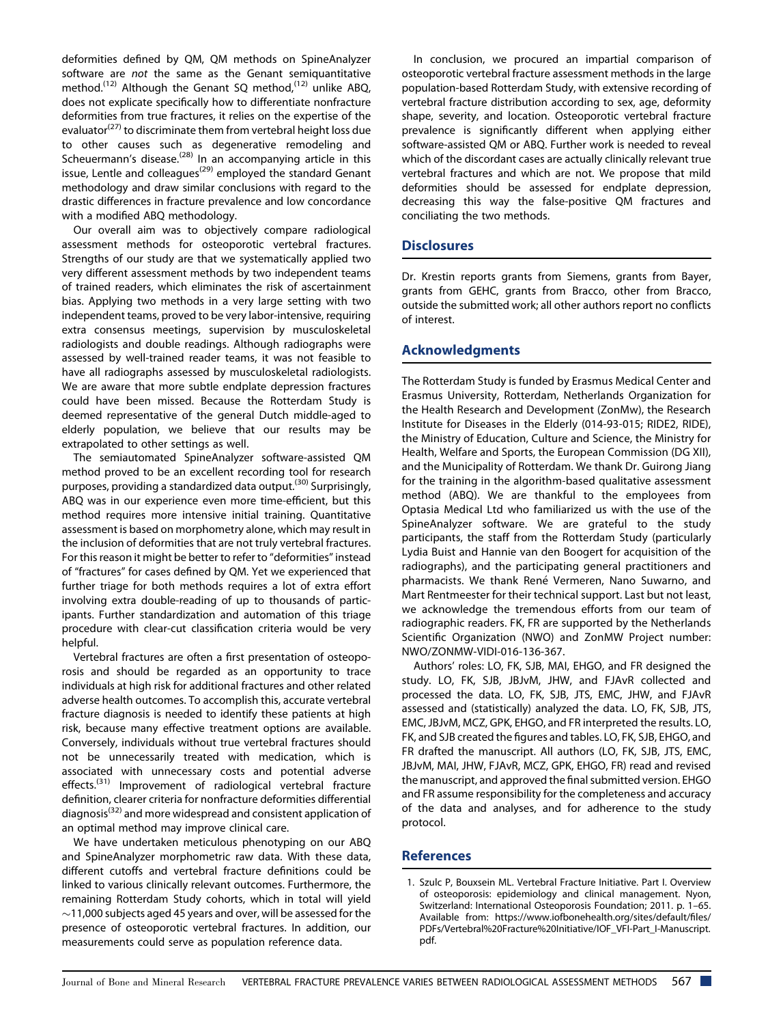deformities defined by QM, QM methods on SpineAnalyzer software are not the same as the Genant semiquantitative method.<sup>(12)</sup> Although the Genant SQ method,<sup>(12)</sup> unlike ABQ, does not explicate specifically how to differentiate nonfracture deformities from true fractures, it relies on the expertise of the evaluator<sup>(27)</sup> to discriminate them from vertebral height loss due to other causes such as degenerative remodeling and Scheuermann's disease.<sup>(28)</sup> In an accompanying article in this issue, Lentle and colleagues<sup>(29)</sup> employed the standard Genant methodology and draw similar conclusions with regard to the drastic differences in fracture prevalence and low concordance with a modified ABQ methodology.

Our overall aim was to objectively compare radiological assessment methods for osteoporotic vertebral fractures. Strengths of our study are that we systematically applied two very different assessment methods by two independent teams of trained readers, which eliminates the risk of ascertainment bias. Applying two methods in a very large setting with two independent teams, proved to be very labor-intensive, requiring extra consensus meetings, supervision by musculoskeletal radiologists and double readings. Although radiographs were assessed by well-trained reader teams, it was not feasible to have all radiographs assessed by musculoskeletal radiologists. We are aware that more subtle endplate depression fractures could have been missed. Because the Rotterdam Study is deemed representative of the general Dutch middle-aged to elderly population, we believe that our results may be extrapolated to other settings as well.

The semiautomated SpineAnalyzer software-assisted QM method proved to be an excellent recording tool for research purposes, providing a standardized data output.<sup>(30)</sup> Surprisingly, ABQ was in our experience even more time-efficient, but this method requires more intensive initial training. Quantitative assessment is based on morphometry alone, which may result in the inclusion of deformities that are not truly vertebral fractures. For this reason it might be better to refer to "deformities"instead of "fractures" for cases defined by QM. Yet we experienced that further triage for both methods requires a lot of extra effort involving extra double-reading of up to thousands of participants. Further standardization and automation of this triage procedure with clear-cut classification criteria would be very helpful.

Vertebral fractures are often a first presentation of osteoporosis and should be regarded as an opportunity to trace individuals at high risk for additional fractures and other related adverse health outcomes. To accomplish this, accurate vertebral fracture diagnosis is needed to identify these patients at high risk, because many effective treatment options are available. Conversely, individuals without true vertebral fractures should not be unnecessarily treated with medication, which is associated with unnecessary costs and potential adverse effects.<sup>(31)</sup> Improvement of radiological vertebral fracture definition, clearer criteria for nonfracture deformities differential diagnosis(32) and more widespread and consistent application of an optimal method may improve clinical care.

We have undertaken meticulous phenotyping on our ABQ and SpineAnalyzer morphometric raw data. With these data, different cutoffs and vertebral fracture definitions could be linked to various clinically relevant outcomes. Furthermore, the remaining Rotterdam Study cohorts, which in total will yield  $\sim$ 11,000 subjects aged 45 years and over, will be assessed for the presence of osteoporotic vertebral fractures. In addition, our measurements could serve as population reference data.

In conclusion, we procured an impartial comparison of osteoporotic vertebral fracture assessment methods in the large population-based Rotterdam Study, with extensive recording of vertebral fracture distribution according to sex, age, deformity shape, severity, and location. Osteoporotic vertebral fracture prevalence is significantly different when applying either software-assisted QM or ABQ. Further work is needed to reveal which of the discordant cases are actually clinically relevant true vertebral fractures and which are not. We propose that mild deformities should be assessed for endplate depression, decreasing this way the false-positive QM fractures and conciliating the two methods.

## **Disclosures**

Dr. Krestin reports grants from Siemens, grants from Bayer, grants from GEHC, grants from Bracco, other from Bracco, outside the submitted work; all other authors report no conflicts of interest.

# **Acknowledgments**

The Rotterdam Study is funded by Erasmus Medical Center and Erasmus University, Rotterdam, Netherlands Organization for the Health Research and Development (ZonMw), the Research Institute for Diseases in the Elderly (014-93-015; RIDE2, RIDE), the Ministry of Education, Culture and Science, the Ministry for Health, Welfare and Sports, the European Commission (DG XII), and the Municipality of Rotterdam. We thank Dr. Guirong Jiang for the training in the algorithm-based qualitative assessment method (ABQ). We are thankful to the employees from Optasia Medical Ltd who familiarized us with the use of the SpineAnalyzer software. We are grateful to the study participants, the staff from the Rotterdam Study (particularly Lydia Buist and Hannie van den Boogert for acquisition of the radiographs), and the participating general practitioners and pharmacists. We thank René Vermeren, Nano Suwarno, and Mart Rentmeester for their technical support. Last but not least, we acknowledge the tremendous efforts from our team of radiographic readers. FK, FR are supported by the Netherlands Scientific Organization (NWO) and ZonMW Project number: NWO/ZONMW-VIDI-016-136-367.

Authors' roles: LO, FK, SJB, MAI, EHGO, and FR designed the study. LO, FK, SJB, JBJvM, JHW, and FJAvR collected and processed the data. LO, FK, SJB, JTS, EMC, JHW, and FJAvR assessed and (statistically) analyzed the data. LO, FK, SJB, JTS, EMC, JBJvM, MCZ, GPK, EHGO, and FR interpreted the results. LO, FK, and SJB created the figures and tables. LO, FK, SJB, EHGO, and FR drafted the manuscript. All authors (LO, FK, SJB, JTS, EMC, JBJvM, MAI, JHW, FJAvR, MCZ, GPK, EHGO, FR) read and revised the manuscript, and approved the final submitted version. EHGO and FR assume responsibility for the completeness and accuracy of the data and analyses, and for adherence to the study protocol.

# **References**

1. Szulc P, Bouxsein ML. Vertebral Fracture Initiative. Part I. Overview of osteoporosis: epidemiology and clinical management. Nyon, Switzerland: International Osteoporosis Foundation; 2011. p. 1–65. Available from: [https://www.iofbonehealth.org/sites/default/](https://www.iofbonehealth.org/sites/default/files/PDFs/Vertebral%20Fracture%20Initiative/IOF_VFI-Part_I-Manuscript.pdf)files/ [PDFs/Vertebral%20Fracture%20Initiative/IOF\\_VFI-Part\\_I-Manuscript.](https://www.iofbonehealth.org/sites/default/files/PDFs/Vertebral%20Fracture%20Initiative/IOF_VFI-Part_I-Manuscript.pdf) [pdf.](https://www.iofbonehealth.org/sites/default/files/PDFs/Vertebral%20Fracture%20Initiative/IOF_VFI-Part_I-Manuscript.pdf)